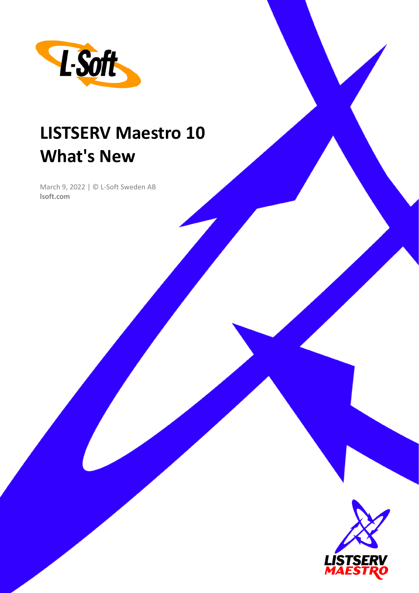

# **LISTSERV Maestro 10 What's New**

March 9, 2022 | © L-Soft Sweden AB **lsoft.com**

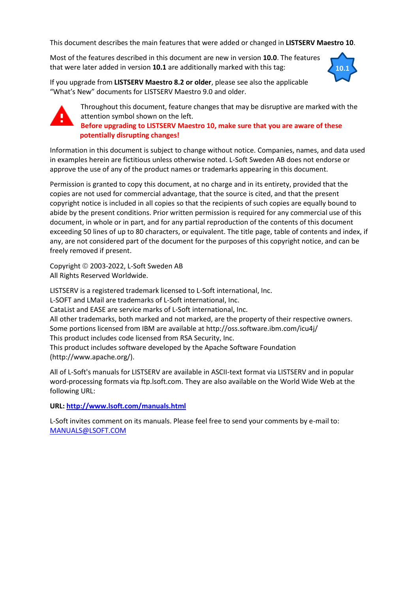This document describes the main features that were added or changed in **LISTSERV Maestro 10**.

Most of the features described in this document are new in version **10.0**. The features that were later added in version **10.1** are additionally marked with this tag:



If you upgrade from **LISTSERV Maestro 8.2 or older**, please see also the applicable "What's New" documents for LISTSERV Maestro 9.0 and older.



Throughout this document, feature changes that may be disruptive are marked with the attention symbol shown on the left. **Before upgrading to LISTSERV Maestro 10, make sure that you are aware of these potentially disrupting changes!**

Information in this document is subject to change without notice. Companies, names, and data used in examples herein are fictitious unless otherwise noted. L-Soft Sweden AB does not endorse or approve the use of any of the product names or trademarks appearing in this document.

Permission is granted to copy this document, at no charge and in its entirety, provided that the copies are not used for commercial advantage, that the source is cited, and that the present copyright notice is included in all copies so that the recipients of such copies are equally bound to abide by the present conditions. Prior written permission is required for any commercial use of this document, in whole or in part, and for any partial reproduction of the contents of this document exceeding 50 lines of up to 80 characters, or equivalent. The title page, table of contents and index, if any, are not considered part of the document for the purposes of this copyright notice, and can be freely removed if present.

Copyright © 2003-2022, L-Soft Sweden AB All Rights Reserved Worldwide.

LISTSERV is a registered trademark licensed to L-Soft international, Inc. L-SOFT and LMail are trademarks of L-Soft international, Inc. CataList and EASE are service marks of L-Soft international, Inc. All other trademarks, both marked and not marked, are the property of their respective owners. Some portions licensed from IBM are available at http://oss.software.ibm.com/icu4j/ This product includes code licensed from RSA Security, Inc. This product includes software developed by the Apache Software Foundation (http://www.apache.org/).

All of L-Soft's manuals for LISTSERV are available in ASCII-text format via LISTSERV and in popular word-processing formats via ftp.lsoft.com. They are also available on the World Wide Web at the following URL:

**URL[: http://www.lsoft.com/manuals.html](http://www.lsoft.com/manuals.html)**

L-Soft invites comment on its manuals. Please feel free to send your comments by e-mail to: [MANUALS@LSOFT.COM](mailto:MANUALS@LSOFT.COM)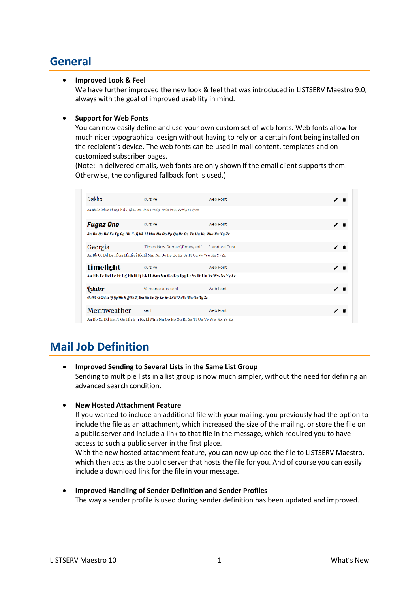# **General**

# • **Improved Look & Feel**

We have further improved the new look & feel that was introduced in LISTSERV Maestro 9.0, always with the goal of improved usability in mind.

# • **Support for Web Fonts**

You can now easily define and use your own custom set of web fonts. Web fonts allow for much nicer typographical design without having to rely on a certain font being installed on the recipient's device. The web fonts can be used in mail content, templates and on customized subscriber pages.

(Note: In delivered emails, web fonts are only shown if the email client supports them. Otherwise, the configured fallback font is used.)

| Dekko          | cursive                                                                        | Web Font             | ∕ î |    |  |
|----------------|--------------------------------------------------------------------------------|----------------------|-----|----|--|
|                | Aa Bb Cc Dd Ee Ff Gg Hh Ii Jj Kk Ll Mm Nn Oo Pp Qq Rr Ss Tt Uu Vv Ww Xx Yy Zz  |                      |     |    |  |
| Fugaz One      | cursive                                                                        | Web Font             | ∕î  |    |  |
|                | Aa Bb Cc Dd Ee Ff, Gg Hh Ii Jj Kk Ll Mm Nn Oo Pp Qq Rr Ss Tt Uu Vv Ww Xx Yy Zz |                      |     |    |  |
| Georgia        | 'Times New Roman'.Times.serif                                                  | <b>Standard Font</b> |     | ∕ा |  |
|                | Aa Bb Cc Dd Ee Ff Gg Hh Ii Jj Kk Ll Mm Nn Oo Pp Qq Rr Ss Tt Uu Vv Ww Xx Yy Zz  |                      |     |    |  |
| Limelight      | cursive                                                                        | Web Font             | ╱ा  |    |  |
|                | Aa Bb Go Dd Ee Ff Gg Hh Ii Jj Kk Ll Mm Nn Oo Pp Qq Rr Ss Tt Uu Vv Ww Xx Yy Zz  |                      |     |    |  |
| <b>Lobster</b> | Verdana,sans-serif                                                             | Web Font             |     | ∕∎ |  |
|                | Aa Bb Cc Dd Ee Ff Gg Hh Ii Jj Kk Ll Mm Nn Oo Pp Qg Rr Ss Tt Uu Vv Ww Xx Yy Zz  |                      |     |    |  |
| Merriweather   | serif                                                                          | Web Font             |     |    |  |
|                | Aa Bb Cc Dd Ee Ff Gg Hh Ii Jj Kk Ll Mm Nn Oo Pp Qq Rr Ss Tt Uu Vv Ww Xx Yy Zz  |                      |     |    |  |

# **Mail Job Definition**

- **Improved Sending to Several Lists in the Same List Group** Sending to multiple lists in a list group is now much simpler, without the need for defining an advanced search condition.
- **New Hosted Attachment Feature**

If you wanted to include an additional file with your mailing, you previously had the option to include the file as an attachment, which increased the size of the mailing, or store the file on a public server and include a link to that file in the message, which required you to have access to such a public server in the first place.

With the new hosted attachment feature, you can now upload the file to LISTSERV Maestro, which then acts as the public server that hosts the file for you. And of course you can easily include a download link for the file in your message.

• **Improved Handling of Sender Definition and Sender Profiles** The way a sender profile is used during sender definition has been updated and improved.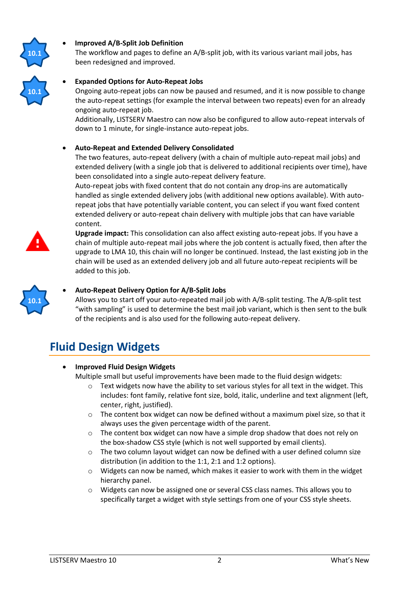

**10.1**

# • **Improved A/B-Split Job Definition**

The workflow and pages to define an A/B-split job, with its various variant mail jobs, has been redesigned and improved.

# • **Expanded Options for Auto-Repeat Jobs**

Ongoing auto-repeat jobs can now be paused and resumed, and it is now possible to change the auto-repeat settings (for example the interval between two repeats) even for an already ongoing auto-repeat job.

Additionally, LISTSERV Maestro can now also be configured to allow auto-repeat intervals of down to 1 minute, for single-instance auto-repeat jobs.

#### • **Auto-Repeat and Extended Delivery Consolidated**

The two features, auto-repeat delivery (with a chain of multiple auto-repeat mail jobs) and extended delivery (with a single job that is delivered to additional recipients over time), have been consolidated into a single auto-repeat delivery feature.

Auto-repeat jobs with fixed content that do not contain any drop-ins are automatically handled as single extended delivery jobs (with additional new options available). With autorepeat jobs that have potentially variable content, you can select if you want fixed content extended delivery or auto-repeat chain delivery with multiple jobs that can have variable content.



**Upgrade impact:** This consolidation can also affect existing auto-repeat jobs. If you have a chain of multiple auto-repeat mail jobs where the job content is actually fixed, then after the upgrade to LMA 10, this chain will no longer be continued. Instead, the last existing job in the chain will be used as an extended delivery job and all future auto-repeat recipients will be added to this job.



# • **Auto-Repeat Delivery Option for A/B-Split Jobs**

Allows you to start off your auto-repeated mail job with A/B-split testing. The A/B-split test "with sampling" is used to determine the best mail job variant, which is then sent to the bulk of the recipients and is also used for the following auto-repeat delivery.

# **Fluid Design Widgets**

# • **Improved Fluid Design Widgets**

Multiple small but useful improvements have been made to the fluid design widgets:

- $\circ$  Text widgets now have the ability to set various styles for all text in the widget. This includes: font family, relative font size, bold, italic, underline and text alignment (left, center, right, justified).
- $\circ$  The content box widget can now be defined without a maximum pixel size, so that it always uses the given percentage width of the parent.
- $\circ$  The content box widget can now have a simple drop shadow that does not rely on the box-shadow CSS style (which is not well supported by email clients).
- $\circ$  The two column layout widget can now be defined with a user defined column size distribution (in addition to the 1:1, 2:1 and 1:2 options).
- $\circ$  Widgets can now be named, which makes it easier to work with them in the widget hierarchy panel.
- o Widgets can now be assigned one or several CSS class names. This allows you to specifically target a widget with style settings from one of your CSS style sheets.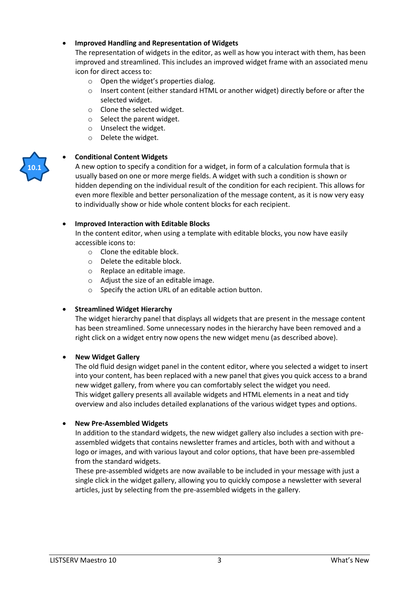# • **Improved Handling and Representation of Widgets**

The representation of widgets in the editor, as well as how you interact with them, has been improved and streamlined. This includes an improved widget frame with an associated menu icon for direct access to:

- o Open the widget's properties dialog.
- o Insert content (either standard HTML or another widget) directly before or after the selected widget.
- o Clone the selected widget.
- o Select the parent widget.
- o Unselect the widget.
- o Delete the widget.

#### • **Conditional Content Widgets**

A new option to specify a condition for a widget, in form of a calculation formula that is usually based on one or more merge fields. A widget with such a condition is shown or hidden depending on the individual result of the condition for each recipient. This allows for even more flexible and better personalization of the message content, as it is now very easy to individually show or hide whole content blocks for each recipient.

#### • **Improved Interaction with Editable Blocks**

In the content editor, when using a template with editable blocks, you now have easily accessible icons to:

- o Clone the editable block.
- o Delete the editable block.
- o Replace an editable image.
- o Adjust the size of an editable image.
- o Specify the action URL of an editable action button.

#### • **Streamlined Widget Hierarchy**

The widget hierarchy panel that displays all widgets that are present in the message content has been streamlined. Some unnecessary nodes in the hierarchy have been removed and a right click on a widget entry now opens the new widget menu (as described above).

#### • **New Widget Gallery**

The old fluid design widget panel in the content editor, where you selected a widget to insert into your content, has been replaced with a new panel that gives you quick access to a brand new widget gallery, from where you can comfortably select the widget you need. This widget gallery presents all available widgets and HTML elements in a neat and tidy overview and also includes detailed explanations of the various widget types and options.

#### • **New Pre-Assembled Widgets**

In addition to the standard widgets, the new widget gallery also includes a section with preassembled widgets that contains newsletter frames and articles, both with and without a logo or images, and with various layout and color options, that have been pre-assembled from the standard widgets.

These pre-assembled widgets are now available to be included in your message with just a single click in the widget gallery, allowing you to quickly compose a newsletter with several articles, just by selecting from the pre-assembled widgets in the gallery.

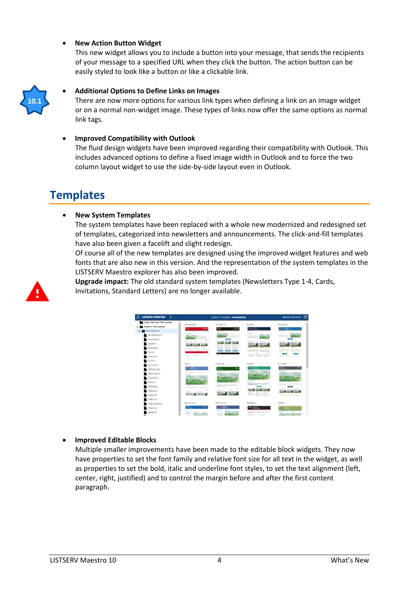#### • **New Action Button Widget**

This new widget allows you to include a button into your message, that sends the recipients of your message to a specified URL when they click the button. The action button can be easily styled to look like a button or like a clickable link.



#### • **Additional Options to Define Links on Images**

There are now more options for various link types when defining a link on an image widget or on a normal non-widget image. These types of links now offer the same options as normal link tags.

#### • **Improved Compatibility with Outlook**

The fluid design widgets have been improved regarding their compatibility with Outlook. This includes advanced options to define a fixed image width in Outlook and to force the two column layout widget to use the side-by-side layout even in Outlook.

# **Templates**

#### • **New System Templates**

The system templates have been replaced with a whole new modernized and redesigned set of templates, categorized into newsletters and announcements. The click-and-fill templates have also been given a facelift and slight redesign.

Of course all of the new templates are designed using the improved widget features and web fonts that are also new in this version. And the representation of the system templates in the LISTSERV Maestro explorer has also been improved.



**Upgrade impact:** The old standard system templates (Newsletters Type 1-4, Cards, Invitations, Standard Letters) are no longer available.

| <b>LISTSERV MAESTRO</b><br>>               |                                                                                                                                                                                                                                                                                                                                                                                                                                                                                                                            | System Templates   Newsletters                                                                                                          | sample account                                                                                  |                                                  |
|--------------------------------------------|----------------------------------------------------------------------------------------------------------------------------------------------------------------------------------------------------------------------------------------------------------------------------------------------------------------------------------------------------------------------------------------------------------------------------------------------------------------------------------------------------------------------------|-----------------------------------------------------------------------------------------------------------------------------------------|-------------------------------------------------------------------------------------------------|--------------------------------------------------|
| User-Defined Templates<br>System Templates | Amsterdam                                                                                                                                                                                                                                                                                                                                                                                                                                                                                                                  | Auckland                                                                                                                                | Boston                                                                                          | Brisbane                                         |
| - Newsletters                              | <b>September</b><br>e,                                                                                                                                                                                                                                                                                                                                                                                                                                                                                                     | ۰<br>$rac{1}{2}$                                                                                                                        | $\circ$ =                                                                                       | $G_{\mu}$ terms                                  |
| Amsterdam                                  | -<br>Total Tex Law                                                                                                                                                                                                                                                                                                                                                                                                                                                                                                         | <b>Future First Facts</b>                                                                                                               | $\frac{1}{2}$<br><b>HAVA ROLLAND</b><br>Total Production                                        | Fully Florida<br>---<br><b>BALLYS</b><br>-       |
| Auckland                                   |                                                                                                                                                                                                                                                                                                                                                                                                                                                                                                                            | <b>STEERING</b>                                                                                                                         | <b>CONTRACT</b><br><b>STATE BOTTOM</b>                                                          | 14.00                                            |
| Boston                                     | THE TRANS - FOO TRIAN - TOU TRIVES                                                                                                                                                                                                                                                                                                                                                                                                                                                                                         |                                                                                                                                         | <b>MARINE MONTANT</b><br><b><i>Index Warranty</i></b>                                           | <b>Think Filmman</b><br>Total Telecom            |
| Brisbane                                   | $\frac{1}{2} \left( \frac{1}{2} \right) \left( \frac{1}{2} \right) \left( \frac{1}{2} \right) \left( \frac{1}{2} \right) \left( \frac{1}{2} \right) \left( \frac{1}{2} \right) \left( \frac{1}{2} \right) \left( \frac{1}{2} \right) \left( \frac{1}{2} \right) \left( \frac{1}{2} \right) \left( \frac{1}{2} \right) \left( \frac{1}{2} \right) \left( \frac{1}{2} \right) \left( \frac{1}{2} \right) \left( \frac{1}{2} \right) \left( \frac{1}{2} \right) \left( \frac$<br><b>Contractor</b><br><b>CONTRACT SERVICE</b> | <b>STEWART</b><br><b>ASSESSMENT</b><br><b>District Construction</b><br><b>STATISTICS</b><br><b>STATISTICS</b><br><b>Service Control</b> |                                                                                                 |                                                  |
| Cairo                                      | <b>SALE</b>                                                                                                                                                                                                                                                                                                                                                                                                                                                                                                                | <b>Select</b>                                                                                                                           | with him don't will<br>--<br><b>KENTIN SECONDAY IS START AN ANGER</b><br><b>SAMP</b>            | <b>SALE</b>                                      |
| Chennai                                    | $-1$<br>-                                                                                                                                                                                                                                                                                                                                                                                                                                                                                                                  | <b>STATISTICS</b>                                                                                                                       | And fraces. Most fraces. Mid-Adviser<br><b>CONTRACTOR CONTRACTOR INTERNATIONAL</b>              | April Started 1, Triba Thomas<br>State Libraries |
| Dublin                                     |                                                                                                                                                                                                                                                                                                                                                                                                                                                                                                                            |                                                                                                                                         |                                                                                                 |                                                  |
| Dunedin                                    | Cairo                                                                                                                                                                                                                                                                                                                                                                                                                                                                                                                      | Chennai                                                                                                                                 | Dublin                                                                                          | Dunedin                                          |
| Edinburgh                                  | $\bullet$ m                                                                                                                                                                                                                                                                                                                                                                                                                                                                                                                | <b>Harbourne</b>                                                                                                                        | $\sim$ $-$<br>$\hat{\phantom{a}}$                                                               | z.<br>-<br>1000 TRAINS                           |
| Edmonton                                   | <b>STATISTICS</b>                                                                                                                                                                                                                                                                                                                                                                                                                                                                                                          | <b><i>STEP-Tracket</i></b>                                                                                                              |                                                                                                 |                                                  |
| Frankfurt                                  |                                                                                                                                                                                                                                                                                                                                                                                                                                                                                                                            |                                                                                                                                         |                                                                                                 |                                                  |
| Fresno                                     |                                                                                                                                                                                                                                                                                                                                                                                                                                                                                                                            |                                                                                                                                         | more top law.<br><b>HEATHER</b>                                                                 |                                                  |
| Gibraltar                                  |                                                                                                                                                                                                                                                                                                                                                                                                                                                                                                                            | <b>Service Street Service</b>                                                                                                           | <b>CASA CASA CONTRACTOR</b>                                                                     | $\sim$                                           |
| <b>Glasgow</b>                             | ---<br><b>SHELF</b>                                                                                                                                                                                                                                                                                                                                                                                                                                                                                                        | <b>CONTRACTOR</b><br><b><i>CONTRACTOR</i></b>                                                                                           | <b>NAME OF GROOM</b><br><b>THE TRANS</b><br>Total Partner                                       | <b>TERR PRINCE - WHO PRINCE</b><br>more and the  |
| Havana                                     |                                                                                                                                                                                                                                                                                                                                                                                                                                                                                                                            |                                                                                                                                         | <b>THE ROOM</b><br><b>TRANSFER</b><br><b>THE REAL EXAMPLE</b><br>preventer protected into asset | <b>STATISTICS</b><br><b>Services</b><br>-------- |
| Helsinki                                   |                                                                                                                                                                                                                                                                                                                                                                                                                                                                                                                            |                                                                                                                                         |                                                                                                 |                                                  |
| Indianapolis                               | Edinburgh                                                                                                                                                                                                                                                                                                                                                                                                                                                                                                                  | Edmonton                                                                                                                                | Frankfurt                                                                                       | Fresno                                           |
| Istanbul                                   | $\overline{\phantom{a}}$<br><b>SEC</b><br>$\frac{1}{2}$                                                                                                                                                                                                                                                                                                                                                                                                                                                                    | --                                                                                                                                      | <b>STATISTICS</b>                                                                               |                                                  |
| Jakarta                                    | <b>AMERICA</b><br><b>The State</b><br><b>DOLL</b>                                                                                                                                                                                                                                                                                                                                                                                                                                                                          | <b>Contractor</b><br><b>Advised Manager</b><br><b>ESSE</b><br><b>SEAR RATION</b>                                                        | <b>COMPANY</b><br><b>Strategical School</b><br><b>SEARCH TO ANY</b>                             | men rida dan<br>lease state box                  |

#### • **Improved Editable Blocks**

Multiple smaller improvements have been made to the editable block widgets. They now have properties to set the font family and relative font size for all text in the widget, as well as properties to set the bold, italic and underline font styles, to set the text alignment (left, center, right, justified) and to control the margin before and after the first content paragraph.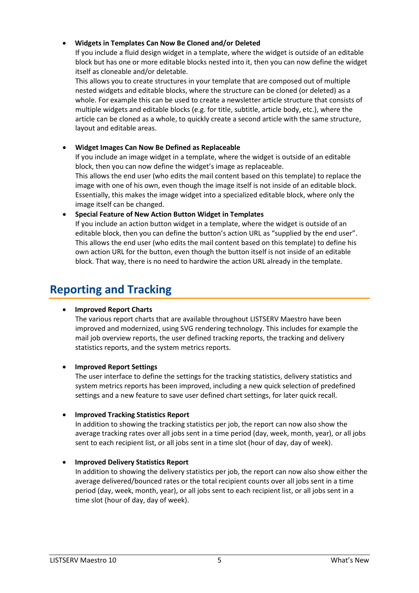# • **Widgets in Templates Can Now Be Cloned and/or Deleted**

If you include a fluid design widget in a template, where the widget is outside of an editable block but has one or more editable blocks nested into it, then you can now define the widget itself as cloneable and/or deletable.

This allows you to create structures in your template that are composed out of multiple nested widgets and editable blocks, where the structure can be cloned (or deleted) as a whole. For example this can be used to create a newsletter article structure that consists of multiple widgets and editable blocks (e.g. for title, subtitle, article body, etc.), where the article can be cloned as a whole, to quickly create a second article with the same structure, layout and editable areas.

# • **Widget Images Can Now Be Defined as Replaceable**

If you include an image widget in a template, where the widget is outside of an editable block, then you can now define the widget's image as replaceable.

This allows the end user (who edits the mail content based on this template) to replace the image with one of his own, even though the image itself is not inside of an editable block. Essentially, this makes the image widget into a specialized editable block, where only the image itself can be changed.

# • **Special Feature of New Action Button Widget in Templates**

If you include an action button widget in a template, where the widget is outside of an editable block, then you can define the button's action URL as "supplied by the end user". This allows the end user (who edits the mail content based on this template) to define his own action URL for the button, even though the button itself is not inside of an editable block. That way, there is no need to hardwire the action URL already in the template.

# **Reporting and Tracking**

# • **Improved Report Charts**

The various report charts that are available throughout LISTSERV Maestro have been improved and modernized, using SVG rendering technology. This includes for example the mail job overview reports, the user defined tracking reports, the tracking and delivery statistics reports, and the system metrics reports.

# • **Improved Report Settings**

The user interface to define the settings for the tracking statistics, delivery statistics and system metrics reports has been improved, including a new quick selection of predefined settings and a new feature to save user defined chart settings, for later quick recall.

# • **Improved Tracking Statistics Report**

In addition to showing the tracking statistics per job, the report can now also show the average tracking rates over all jobs sent in a time period (day, week, month, year), or all jobs sent to each recipient list, or all jobs sent in a time slot (hour of day, day of week).

# • **Improved Delivery Statistics Report**

In addition to showing the delivery statistics per job, the report can now also show either the average delivered/bounced rates or the total recipient counts over all jobs sent in a time period (day, week, month, year), or all jobs sent to each recipient list, or all jobs sent in a time slot (hour of day, day of week).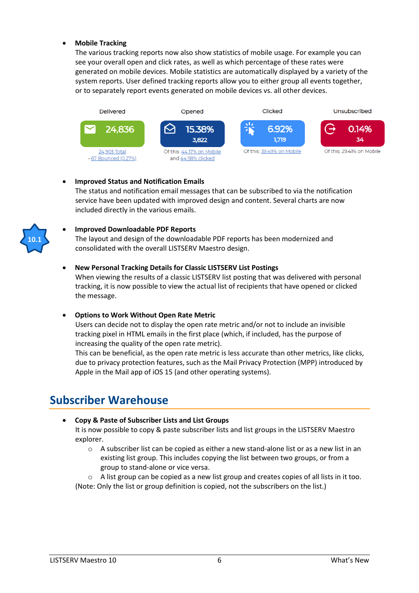## • **Mobile Tracking**

The various tracking reports now also show statistics of mobile usage. For example you can see your overall open and click rates, as well as which percentage of these rates were generated on mobile devices. Mobile statistics are automatically displayed by a variety of the system reports. User defined tracking reports allow you to either group all events together, or to separately report events generated on mobile devices vs. all other devices.



# • **Improved Status and Notification Emails**

The status and notification email messages that can be subscribed to via the notification service have been updated with improved design and content. Several charts are now included directly in the various emails.



# • **Improved Downloadable PDF Reports**

The layout and design of the downloadable PDF reports has been modernized and consolidated with the overall LISTSERV Maestro design.

#### • **New Personal Tracking Details for Classic LISTSERV List Postings**

When viewing the results of a classic LISTSERV list posting that was delivered with personal tracking, it is now possible to view the actual list of recipients that have opened or clicked the message.

#### • **Options to Work Without Open Rate Metric**

Users can decide not to display the open rate metric and/or not to include an invisible tracking pixel in HTML emails in the first place (which, if included, has the purpose of increasing the quality of the open rate metric).

This can be beneficial, as the open rate metric is less accurate than other metrics, like clicks, due to privacy protection features, such as the Mail Privacy Protection (MPP) introduced by Apple in the Mail app of iOS 15 (and other operating systems).

# **Subscriber Warehouse**

• **Copy & Paste of Subscriber Lists and List Groups** It is now possible to copy & paste subscriber lists and list groups in the LISTSERV Maestro explorer.

- $\circ$  A subscriber list can be copied as either a new stand-alone list or as a new list in an existing list group. This includes copying the list between two groups, or from a group to stand-alone or vice versa.
- $\circ$  A list group can be copied as a new list group and creates copies of all lists in it too.

(Note: Only the list or group definition is copied, not the subscribers on the list.)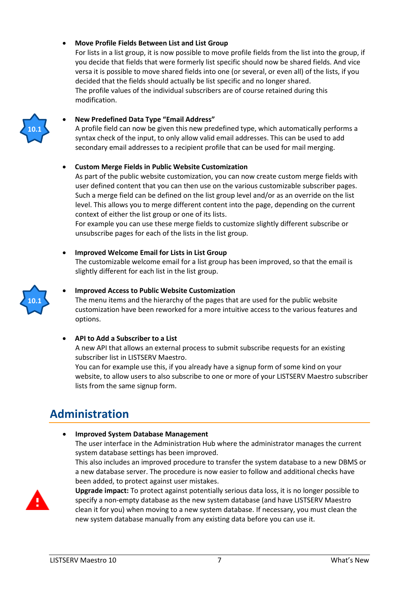## • **Move Profile Fields Between List and List Group**

For lists in a list group, it is now possible to move profile fields from the list into the group, if you decide that fields that were formerly list specific should now be shared fields. And vice versa it is possible to move shared fields into one (or several, or even all) of the lists, if you decided that the fields should actually be list specific and no longer shared. The profile values of the individual subscribers are of course retained during this modification.



#### • **New Predefined Data Type "Email Address"**

A profile field can now be given this new predefined type, which automatically performs a syntax check of the input, to only allow valid email addresses. This can be used to add secondary email addresses to a recipient profile that can be used for mail merging.

#### • **Custom Merge Fields in Public Website Customization**

As part of the public website customization, you can now create custom merge fields with user defined content that you can then use on the various customizable subscriber pages. Such a merge field can be defined on the list group level and/or as an override on the list level. This allows you to merge different content into the page, depending on the current context of either the list group or one of its lists.

For example you can use these merge fields to customize slightly different subscribe or unsubscribe pages for each of the lists in the list group.

# • **Improved Welcome Email for Lists in List Group**

The customizable welcome email for a list group has been improved, so that the email is slightly different for each list in the list group.



#### • **Improved Access to Public Website Customization**

The menu items and the hierarchy of the pages that are used for the public website customization have been reworked for a more intuitive access to the various features and options.

#### • **API to Add a Subscriber to a List**

A new API that allows an external process to submit subscribe requests for an existing subscriber list in LISTSERV Maestro.

You can for example use this, if you already have a signup form of some kind on your website, to allow users to also subscribe to one or more of your LISTSERV Maestro subscriber lists from the same signup form.

# **Administration**

• **Improved System Database Management**

The user interface in the Administration Hub where the administrator manages the current system database settings has been improved.

This also includes an improved procedure to transfer the system database to a new DBMS or a new database server. The procedure is now easier to follow and additional checks have been added, to protect against user mistakes.



**Upgrade impact:** To protect against potentially serious data loss, it is no longer possible to specify a non-empty database as the new system database (and have LISTSERV Maestro clean it for you) when moving to a new system database. If necessary, you must clean the new system database manually from any existing data before you can use it.